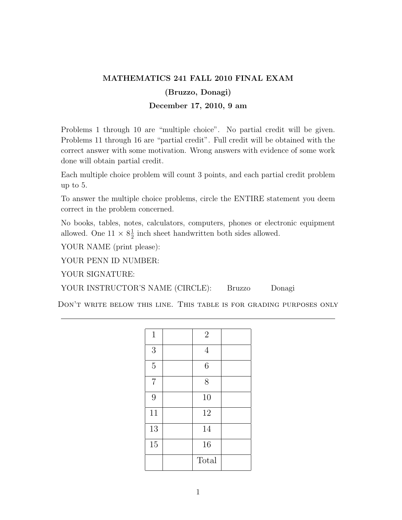## MATHEMATICS 241 FALL 2010 FINAL EXAM (Bruzzo, Donagi) December 17, 2010, 9 am

Problems 1 through 10 are "multiple choice". No partial credit will be given. Problems 11 through 16 are "partial credit". Full credit will be obtained with the correct answer with some motivation. Wrong answers with evidence of some work done will obtain partial credit.

Each multiple choice problem will count 3 points, and each partial credit problem up to 5.

To answer the multiple choice problems, circle the ENTIRE statement you deem correct in the problem concerned.

No books, tables, notes, calculators, computers, phones or electronic equipment allowed. One  $11 \times 8\frac{1}{2}$  $\frac{1}{2}$  inch sheet handwritten both sides allowed.

YOUR NAME (print please):

YOUR PENN ID NUMBER:

YOUR SIGNATURE:

YOUR INSTRUCTOR'S NAME (CIRCLE): Bruzzo Donagi

Don't write below this line. This table is for grading purposes only

| $\mathbf{1}$   | $2\,$          |  |
|----------------|----------------|--|
| 3              | $\overline{4}$ |  |
| $\overline{5}$ | $\sqrt{6}$     |  |
| $\overline{7}$ | 8              |  |
| 9              | 10             |  |
| 11             | 12             |  |
| 13             | 14             |  |
| 15             | 16             |  |
|                | Total          |  |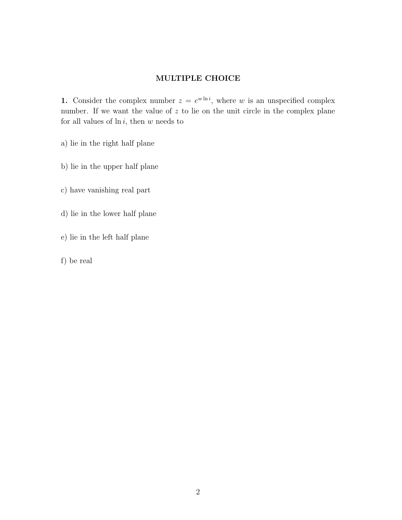## MULTIPLE CHOICE

1. Consider the complex number  $z = e^{w \ln i}$ , where w is an unspecified complex number. If we want the value of  $z$  to lie on the unit circle in the complex plane for all values of  $\ln i$ , then w needs to

- a) lie in the right half plane
- b) lie in the upper half plane
- c) have vanishing real part
- d) lie in the lower half plane
- e) lie in the left half plane
- f) be real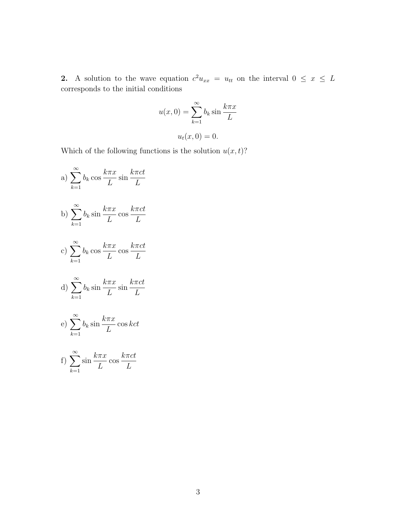2. A solution to the wave equation  $c^2u_{xx} = u_{tt}$  on the interval  $0 \leq x \leq L$ corresponds to the initial conditions

$$
u(x,0) = \sum_{k=1}^{\infty} b_k \sin \frac{k \pi x}{L}
$$

 $u_t(x, 0) = 0.$ 

Which of the following functions is the solution  $u(x, t)$ ?

a)  $\sum_{n=0}^{\infty}$  $k=1$  $b_k \cos$  $k\pi x$ L sin  $k\pi ct$ L b)  $\sum_{n=1}^{\infty}$  $k=1$  $b_k$  sin  $k\pi x$ L cos  $k\pi ct$ L c)  $\sum_{n=0}^{\infty}$  $_{k=1}$  $b_k \cos$  $k\pi x$ L cos  $k\pi ct$ L d)  $\sum_{n=0}^{\infty}$  $k=1$  $b_k$  sin  $k\pi x$ L sin  $k\pi ct$ L e)  $\sum_{n=1}^{\infty}$  $_{k=1}$  $b_k$  sin  $k\pi x$ L cos kct

f) 
$$
\sum_{k=1}^{\infty} \sin \frac{k \pi x}{L} \cos \frac{k \pi ct}{L}
$$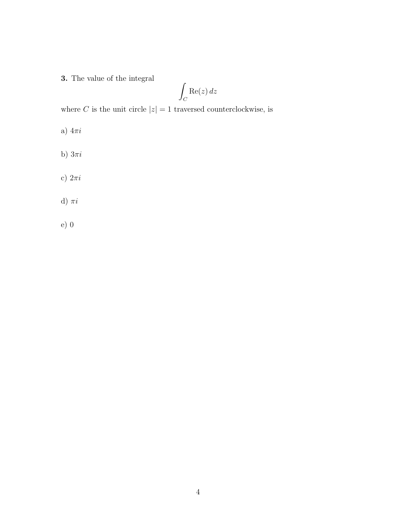3. The value of the integral

$$
\int_C \text{Re}(z) \, dz
$$

where C is the unit circle  $|z| = 1$  traversed counterclockwise, is

- a)  $4\pi i$
- b)  $3\pi i$
- c)  $2\pi i$
- d)  $\pi i$
- e) 0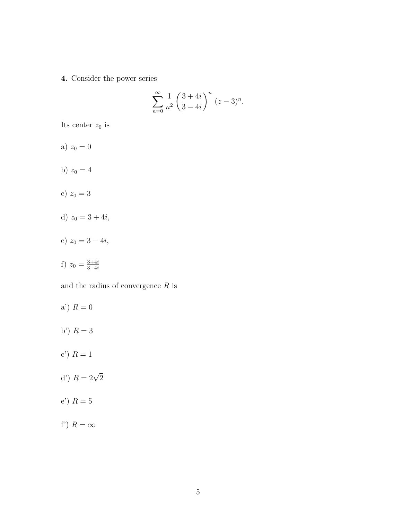4. Consider the power series

$$
\sum_{n=0}^{\infty} \frac{1}{n^2} \left( \frac{3+4i}{3-4i} \right)^n (z-3)^n.
$$

Its center  $z_0$  is

- a)  $z_0 = 0$
- b)  $z_0 = 4$
- c)  $z_0 = 3$
- d)  $z_0 = 3 + 4i$ ,
- e)  $z_0 = 3 4i$ ,
- f)  $z_0 = \frac{3+4i}{3-4i}$ 3−4i

and the radius of convergence  $R$  is

- a')  $R = 0$ b')  $R = 3$ c') ${\cal R}=1$ d')  $R = 2\sqrt{2}$ e') ${\cal R}=5$
- f')  $R = \infty$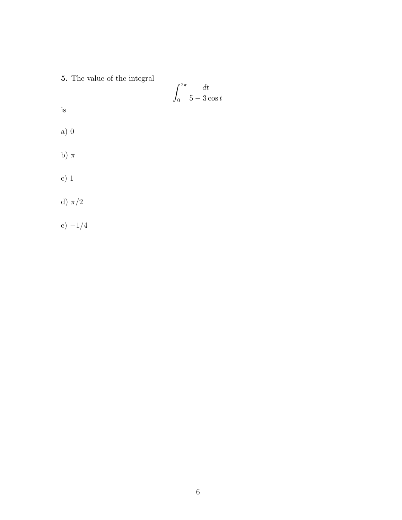5. The value of the integral

$$
\int_0^{2\pi} \frac{dt}{5 - 3\cos t}
$$

is

- a) 0
- b)  $\pi$
- c) 1
- d)  $\pi/2$
- e) −1/4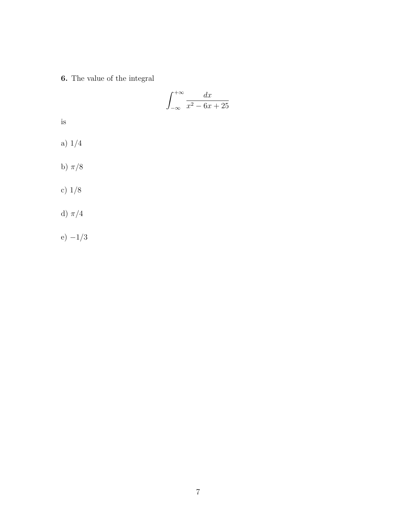6. The value of the integral

$$
\int_{-\infty}^{+\infty} \frac{dx}{x^2 - 6x + 25}
$$

is

- a) 1/4
- b)  $\pi/8$
- c) 1/8
- d)  $\pi/4$
- e)  $-1/3$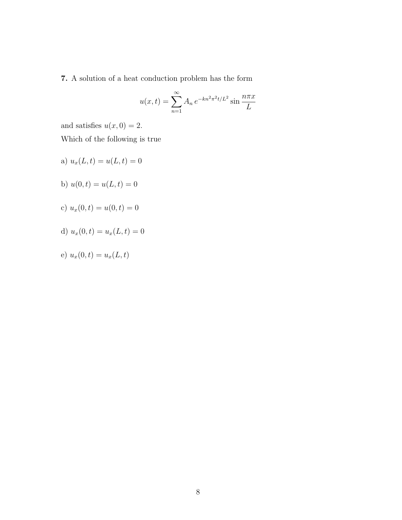7. A solution of a heat conduction problem has the form

$$
u(x,t) = \sum_{n=1}^{\infty} A_n e^{-kn^2 \pi^2 t/L^2} \sin \frac{n \pi x}{L}
$$

and satisfies  $u(x, 0) = 2$ .

Which of the following is true

- a)  $u_x(L, t) = u(L, t) = 0$
- b)  $u(0, t) = u(L, t) = 0$
- c)  $u_x(0, t) = u(0, t) = 0$
- d)  $u_x(0, t) = u_x(L, t) = 0$

e) 
$$
u_x(0,t) = u_x(L,t)
$$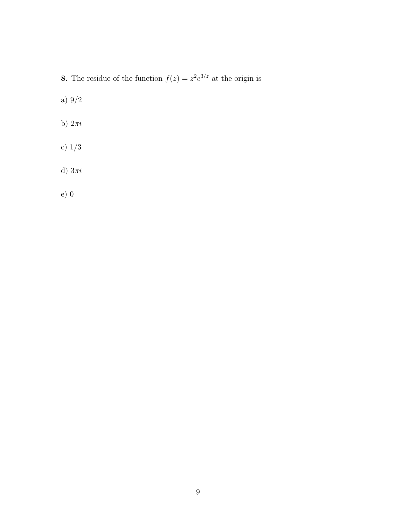**8.** The residue of the function  $f(z) = z^2 e^{3/z}$  at the origin is

a) 9/2

- b)  $2\pi i$
- c) 1/3
- d) $3\pi i$
- e) 0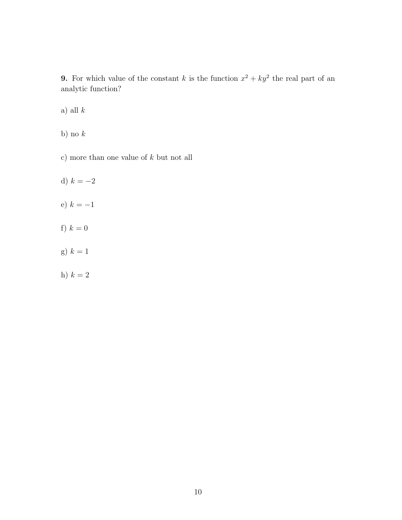**9.** For which value of the constant k is the function  $x^2 + ky^2$  the real part of an analytic function?

a) all  $k$ 

b) no  $k$ 

c) more than one value of  $k$  but not all

- d)  $k = -2$
- e)  $k = -1$
- f)  $k = 0$
- g)  $k = 1$
- h)  $k = 2$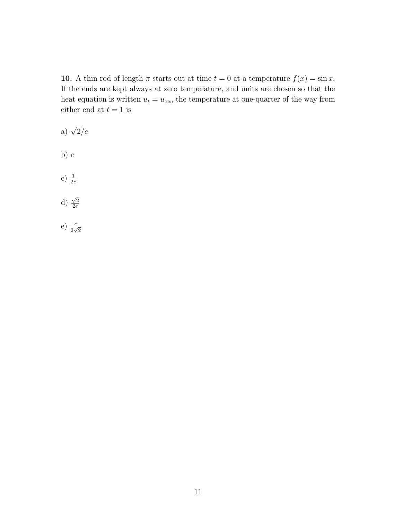10. A thin rod of length  $\pi$  starts out at time  $t = 0$  at a temperature  $f(x) = \sin x$ . If the ends are kept always at zero temperature, and units are chosen so that the heat equation is written  $u_t = u_{xx}$ , the temperature at one-quarter of the way from either end at  $t = 1$  is

- a)  $\sqrt{2}/e$ b)  $e$ c)  $\frac{1}{2e}$ d)  $\sqrt{2}$  $2e$
- e)  $\frac{e}{2\sqrt{2}}$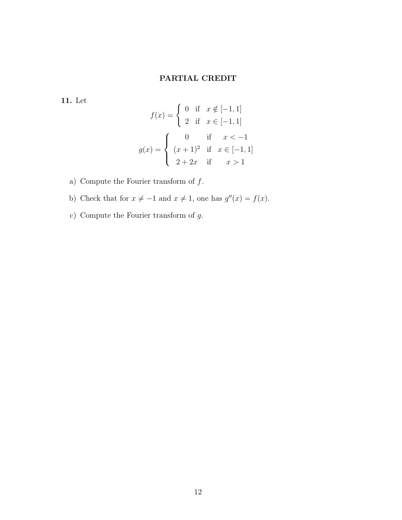## PARTIAL CREDIT

11. Let

$$
f(x) = \begin{cases} 0 & \text{if } x \notin [-1, 1] \\ 2 & \text{if } x \in [-1, 1] \end{cases}
$$

$$
g(x) = \begin{cases} 0 & \text{if } x < -1 \\ (x+1)^2 & \text{if } x \in [-1, 1] \\ 2+2x & \text{if } x > 1 \end{cases}
$$

- a) Compute the Fourier transform of  $f_{\cdot}$
- b) Check that for  $x \neq -1$  and  $x \neq 1$ , one has  $g''(x) = f(x)$ .
- c) Compute the Fourier transform of  $g.$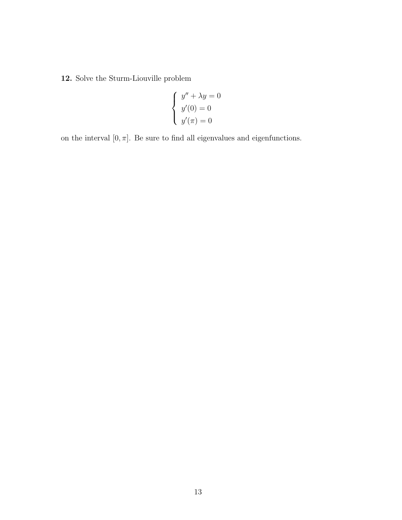12. Solve the Sturm-Liouville problem

$$
\begin{cases}\ny'' + \lambda y = 0 \\
y'(0) = 0 \\
y'(\pi) = 0\n\end{cases}
$$

on the interval  $[0,\pi].$  Be sure to find all eigenvalues and eigenfunctions.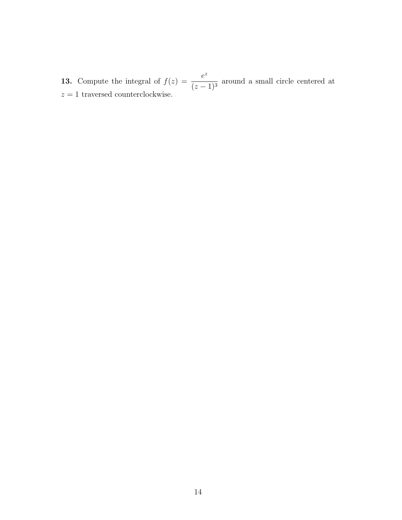**13.** Compute the integral of  $f(z) = \frac{e^z}{\sqrt{z}}$  $\frac{c}{(z-1)^3}$  around a small circle centered at  $z = 1$  traversed counterclockwise.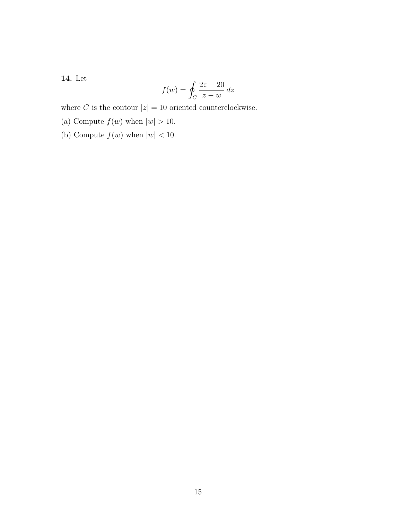14. Let

$$
f(w) = \oint_C \frac{2z - 20}{z - w} dz
$$

where C is the contour  $|z| = 10$  oriented counterclockwise.

(a) Compute  $f(w)$  when  $|w| > 10$ .

(b) Compute  $f(w)$  when  $|w| < 10$ .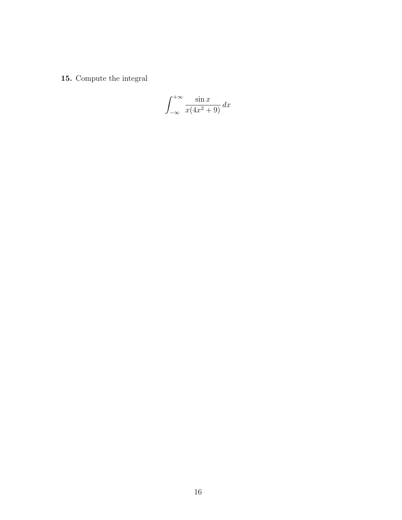15. Compute the integral

$$
\int_{-\infty}^{+\infty} \frac{\sin x}{x(4x^2 + 9)} dx
$$